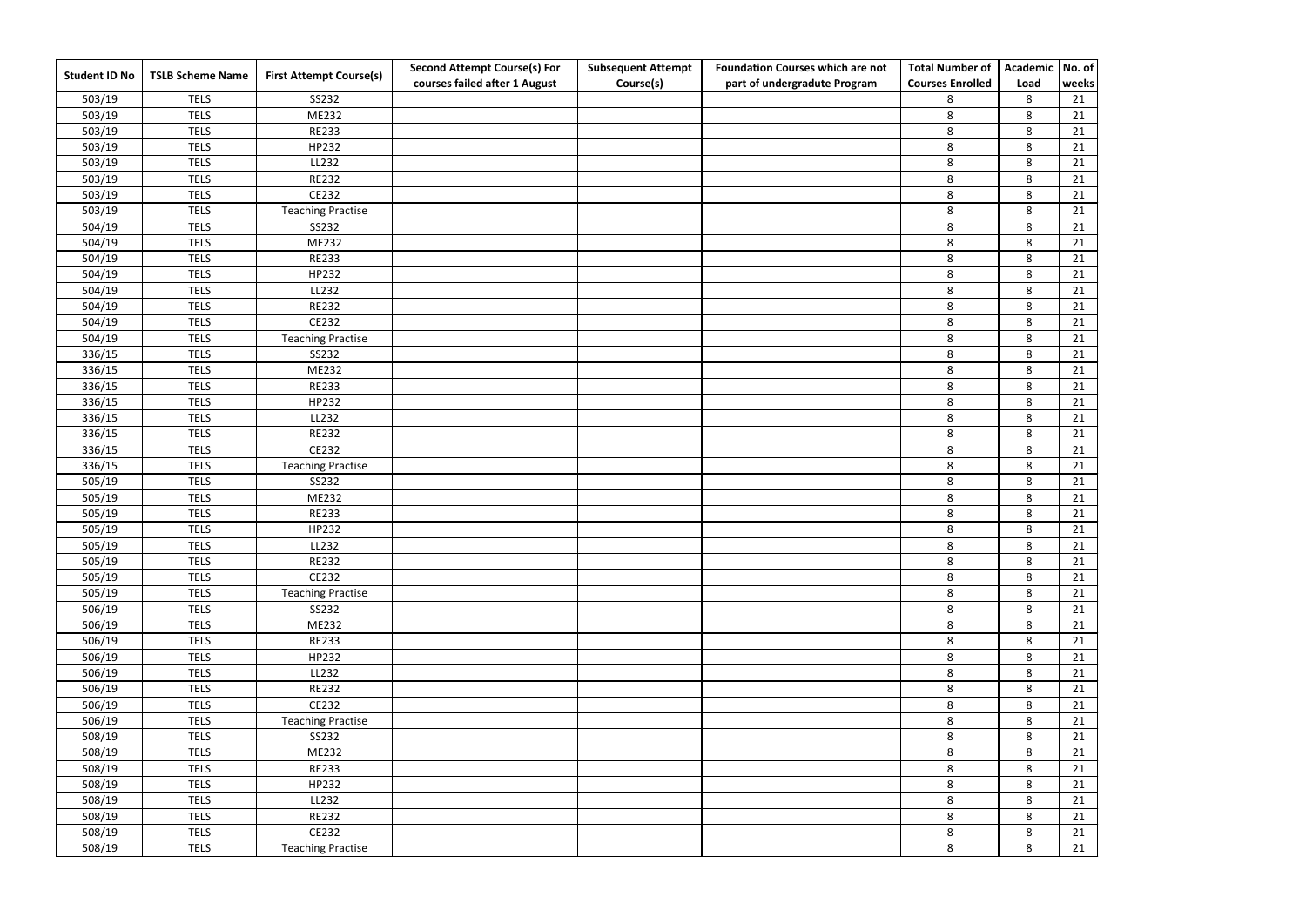|                      |                         |                                | <b>Second Attempt Course(s) For</b> | <b>Subsequent Attempt</b> | <b>Foundation Courses which are not</b> | <b>Total Number of</b>  | <b>Academic</b> | No. of |
|----------------------|-------------------------|--------------------------------|-------------------------------------|---------------------------|-----------------------------------------|-------------------------|-----------------|--------|
| <b>Student ID No</b> | <b>TSLB Scheme Name</b> | <b>First Attempt Course(s)</b> | courses failed after 1 August       | Course(s)                 | part of undergradute Program            | <b>Courses Enrolled</b> | Load            | weeks  |
| 503/19               | <b>TELS</b>             | SS232                          |                                     |                           |                                         | 8                       | 8               | 21     |
| 503/19               | <b>TELS</b>             | ME232                          |                                     |                           |                                         | 8                       | 8               | 21     |
| 503/19               | <b>TELS</b>             | <b>RE233</b>                   |                                     |                           |                                         | 8                       | 8               | 21     |
| 503/19               | <b>TELS</b>             | HP232                          |                                     |                           |                                         | 8                       | 8               | 21     |
| 503/19               | <b>TELS</b>             | LL232                          |                                     |                           |                                         | $\,8\,$                 | 8               | 21     |
| 503/19               | <b>TELS</b>             | <b>RE232</b>                   |                                     |                           |                                         | 8                       | 8               | 21     |
| 503/19               | <b>TELS</b>             | CE232                          |                                     |                           |                                         | 8                       | 8               | 21     |
| 503/19               | <b>TELS</b>             | <b>Teaching Practise</b>       |                                     |                           |                                         | 8                       | 8               | 21     |
| 504/19               | <b>TELS</b>             | SS232                          |                                     |                           |                                         | 8                       | 8               | 21     |
| 504/19               | <b>TELS</b>             | ME232                          |                                     |                           |                                         | 8                       | 8               | 21     |
| 504/19               | <b>TELS</b>             | <b>RE233</b>                   |                                     |                           |                                         | 8                       | 8               | 21     |
| 504/19               | <b>TELS</b>             | HP232                          |                                     |                           |                                         | 8                       | 8               | 21     |
| 504/19               | <b>TELS</b>             | LL232                          |                                     |                           |                                         | 8                       | 8               | 21     |
| 504/19               | <b>TELS</b>             | <b>RE232</b>                   |                                     |                           |                                         | 8                       | 8               | 21     |
| 504/19               | <b>TELS</b>             | CE232                          |                                     |                           |                                         | $\,8\,$                 | 8               | 21     |
| 504/19               | <b>TELS</b>             | <b>Teaching Practise</b>       |                                     |                           |                                         | 8                       | 8               | 21     |
| 336/15               | <b>TELS</b>             | SS232                          |                                     |                           |                                         | $\,8\,$                 | 8               | 21     |
| 336/15               | <b>TELS</b>             | ME232                          |                                     |                           |                                         | 8                       | 8               | 21     |
| 336/15               | <b>TELS</b>             | <b>RE233</b>                   |                                     |                           |                                         | $\,8\,$                 | 8               | 21     |
| 336/15               | <b>TELS</b>             | HP232                          |                                     |                           |                                         | 8                       | 8               | 21     |
| 336/15               | <b>TELS</b>             | LL232                          |                                     |                           |                                         | 8                       | 8               | 21     |
| 336/15               | <b>TELS</b>             | <b>RE232</b>                   |                                     |                           |                                         | 8                       | 8               | 21     |
| 336/15               | <b>TELS</b>             | CE232                          |                                     |                           |                                         | 8                       | 8               | 21     |
| 336/15               | <b>TELS</b>             | <b>Teaching Practise</b>       |                                     |                           |                                         | 8                       | 8               | 21     |
| 505/19               | <b>TELS</b>             | SS232                          |                                     |                           |                                         | 8                       | 8               | 21     |
| 505/19               | <b>TELS</b>             | ME232                          |                                     |                           |                                         | 8                       | 8               | 21     |
| 505/19               | <b>TELS</b>             | <b>RE233</b>                   |                                     |                           |                                         | 8                       | 8               | 21     |
| 505/19               | <b>TELS</b>             | HP232                          |                                     |                           |                                         | 8                       | 8               | 21     |
| 505/19               | <b>TELS</b>             | LL232                          |                                     |                           |                                         | 8                       | 8               | 21     |
| 505/19               | <b>TELS</b>             | <b>RE232</b>                   |                                     |                           |                                         | 8                       | 8               | 21     |
| 505/19               | <b>TELS</b>             | CE232                          |                                     |                           |                                         | $\,8\,$                 | 8               | 21     |
| 505/19               | <b>TELS</b>             | <b>Teaching Practise</b>       |                                     |                           |                                         | 8                       | 8               | 21     |
| 506/19               | <b>TELS</b>             | SS232                          |                                     |                           |                                         | 8                       | 8               | 21     |
| 506/19               | <b>TELS</b>             | ME232                          |                                     |                           |                                         | 8                       | 8               | 21     |
| 506/19               | <b>TELS</b>             | <b>RE233</b>                   |                                     |                           |                                         | 8                       | 8               | 21     |
| 506/19               | <b>TELS</b>             | HP232                          |                                     |                           |                                         | 8                       | 8               | 21     |
| 506/19               | <b>TELS</b>             | LL232                          |                                     |                           |                                         | 8                       | 8               | 21     |
| 506/19               | <b>TELS</b>             | <b>RE232</b>                   |                                     |                           |                                         | 8                       | 8               | 21     |
| 506/19               | <b>TELS</b>             | CE232                          |                                     |                           |                                         | 8                       | 8               | 21     |
| 506/19               | <b>TELS</b>             | <b>Teaching Practise</b>       |                                     |                           |                                         | 8                       | 8               | 21     |
| 508/19               | <b>TELS</b>             | SS232                          |                                     |                           |                                         | $\bf 8$                 | 8               | 21     |
| 508/19               | <b>TELS</b>             | ME232                          |                                     |                           |                                         | 8                       | 8               | 21     |
| 508/19               | <b>TELS</b>             | <b>RE233</b>                   |                                     |                           |                                         | 8                       | 8               | 21     |
| 508/19               | <b>TELS</b>             | HP232                          |                                     |                           |                                         | 8                       | 8               | 21     |
| 508/19               | <b>TELS</b>             | LL232                          |                                     |                           |                                         | 8                       | 8               | 21     |
| 508/19               | <b>TELS</b>             | <b>RE232</b>                   |                                     |                           |                                         | 8                       | 8               | 21     |
| 508/19               | <b>TELS</b>             | CE232                          |                                     |                           |                                         | 8                       | 8               | 21     |
| 508/19               | <b>TELS</b>             | <b>Teaching Practise</b>       |                                     |                           |                                         | 8                       | 8               | 21     |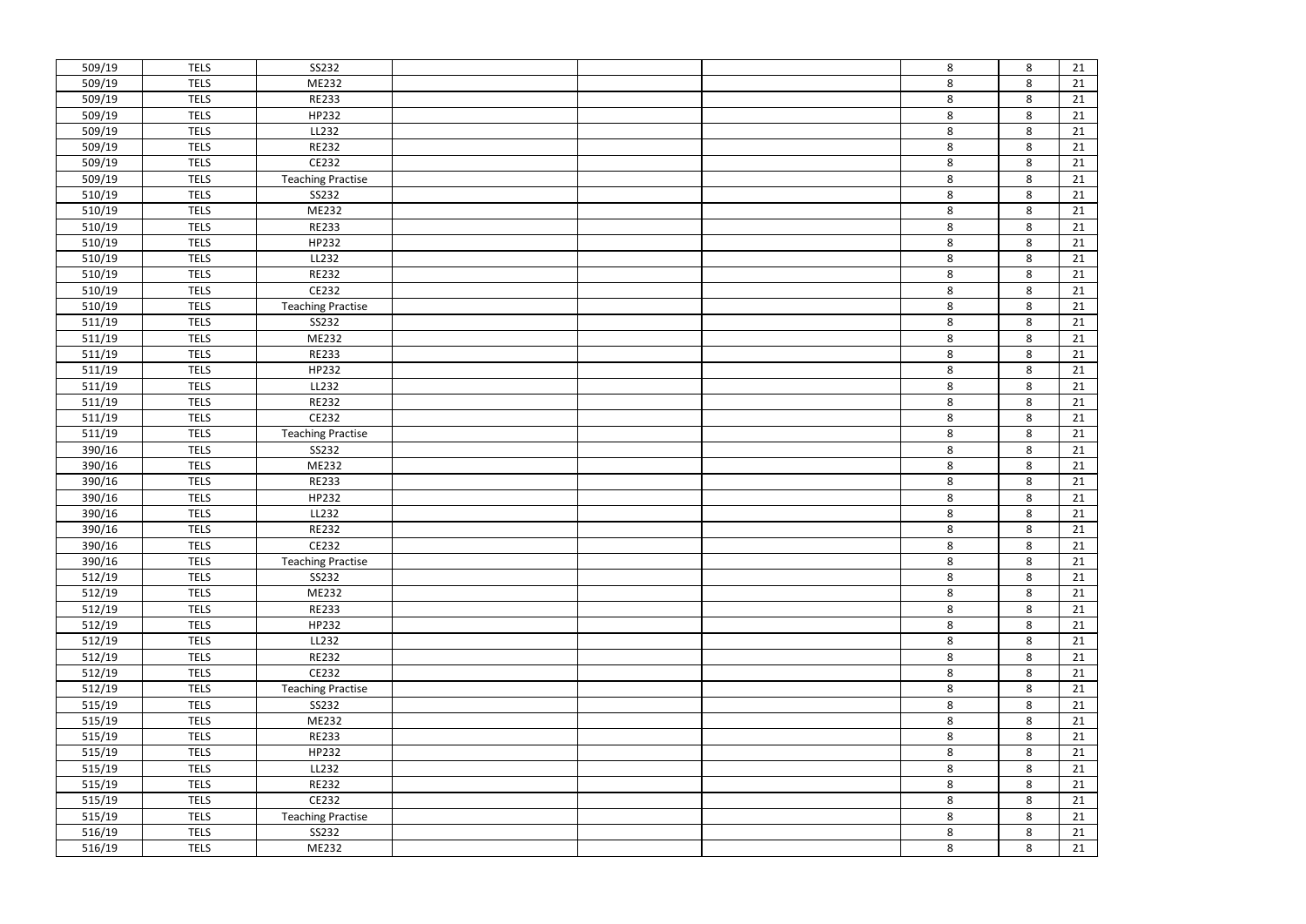| 509/19 | <b>TELS</b> | SS232                    |  | 8       |
|--------|-------------|--------------------------|--|---------|
| 509/19 | <b>TELS</b> | ME232                    |  | 8       |
| 509/19 | <b>TELS</b> | <b>RE233</b>             |  | 8       |
| 509/19 | <b>TELS</b> | HP232                    |  | 8       |
| 509/19 | <b>TELS</b> | LL232                    |  | 8       |
| 509/19 | <b>TELS</b> | <b>RE232</b>             |  | $\bf 8$ |
| 509/19 | <b>TELS</b> | CE232                    |  | 8       |
| 509/19 | <b>TELS</b> | <b>Teaching Practise</b> |  | 8       |
| 510/19 | <b>TELS</b> | SS232                    |  | 8       |
| 510/19 | <b>TELS</b> | ME232                    |  | 8       |
| 510/19 | <b>TELS</b> | <b>RE233</b>             |  | $\bf 8$ |
| 510/19 | <b>TELS</b> | HP232                    |  | 8       |
| 510/19 | <b>TELS</b> | LL232                    |  | 8       |
| 510/19 | <b>TELS</b> | <b>RE232</b>             |  | 8       |
| 510/19 | <b>TELS</b> | CE232                    |  | 8       |
| 510/19 | <b>TELS</b> | <b>Teaching Practise</b> |  | 8       |
| 511/19 | <b>TELS</b> | SS232                    |  | 8       |
| 511/19 | <b>TELS</b> | ME232                    |  | 8       |
| 511/19 | <b>TELS</b> | <b>RE233</b>             |  | 8       |
| 511/19 | <b>TELS</b> | HP232                    |  | 8       |
| 511/19 | <b>TELS</b> | LL232                    |  | 8       |
| 511/19 | <b>TELS</b> | <b>RE232</b>             |  | $\bf 8$ |
| 511/19 | <b>TELS</b> | CE232                    |  | 8       |
| 511/19 | <b>TELS</b> | <b>Teaching Practise</b> |  | 8       |
| 390/16 | <b>TELS</b> | SS232                    |  | 8       |
| 390/16 | <b>TELS</b> | ME232                    |  | 8       |
| 390/16 | <b>TELS</b> | <b>RE233</b>             |  | 8       |
| 390/16 | <b>TELS</b> | HP232                    |  | 8       |
| 390/16 | <b>TELS</b> | LL232                    |  | 8       |
| 390/16 | <b>TELS</b> | <b>RE232</b>             |  | 8       |
| 390/16 | <b>TELS</b> | CE232                    |  | 8       |
| 390/16 | <b>TELS</b> | <b>Teaching Practise</b> |  | 8       |
| 512/19 | <b>TELS</b> | SS232                    |  | 8       |
| 512/19 | <b>TELS</b> | ME232                    |  | 8       |
| 512/19 | <b>TELS</b> | <b>RE233</b>             |  | 8       |
| 512/19 | <b>TELS</b> | HP232                    |  | 8       |
| 512/19 | <b>TELS</b> | LL232                    |  | 8       |
| 512/19 | <b>TELS</b> | <b>RE232</b>             |  | 8       |
| 512/19 | <b>TELS</b> | CE232                    |  | 8       |
| 512/19 | <b>TELS</b> | <b>Teaching Practise</b> |  | 8       |
| 515/19 | <b>TELS</b> | SS232                    |  | 8       |
| 515/19 | <b>TELS</b> | ME232                    |  | 8       |
| 515/19 | <b>TELS</b> | <b>RE233</b>             |  | 8       |
| 515/19 | <b>TELS</b> | HP232                    |  | 8       |
| 515/19 | <b>TELS</b> | LL232                    |  | 8       |
| 515/19 | <b>TELS</b> | RE232                    |  | 8       |
| 515/19 | <b>TELS</b> | CE232                    |  | 8       |
| 515/19 | <b>TELS</b> | <b>Teaching Practise</b> |  | 8       |
| 516/19 | <b>TELS</b> | SS232                    |  | 8       |
| 516/19 | <b>TELS</b> | ME232                    |  | 8       |

| 8 | 21              |
|---|-----------------|
| 8 | 21              |
| 8 | 21              |
| 8 | 21              |
| 8 | $\overline{21}$ |
| 8 | 21              |
| 8 | 21              |
| 8 | 21              |
| 8 | 21              |
| 8 | $\frac{1}{21}$  |
| 8 | 21              |
| 8 | $\overline{21}$ |
| 8 | 21              |
| 8 | 21              |
| 8 | 21              |
| 8 | $\overline{21}$ |
| 8 | 21              |
| 8 | 21              |
| 8 | $\overline{21}$ |
| 8 | 21              |
| 8 | 21              |
| 8 | 21              |
| 8 | 21              |
| 8 | <b>21</b>       |
| 8 | 21              |
| 8 | 21              |
| 8 | 21              |
| 8 | 21              |
| 8 | 21              |
| 8 | 21              |
| 8 | $\overline{21}$ |
| 8 | 21              |
| 8 | $\overline{21}$ |
| 8 | 21              |
| 8 | 21              |
| 8 | 21              |
| 8 | 21              |
| 8 | 21              |
| 8 | 21              |
| 8 | 21              |
| 8 | 21              |
| 8 | 21              |
| 8 | 21              |
| 8 | 21              |
| 8 | 21              |
| 8 | 21              |
| 8 | 21              |
| 8 | $\overline{21}$ |
| 8 | 21              |
| 8 | $\overline{21}$ |
|   |                 |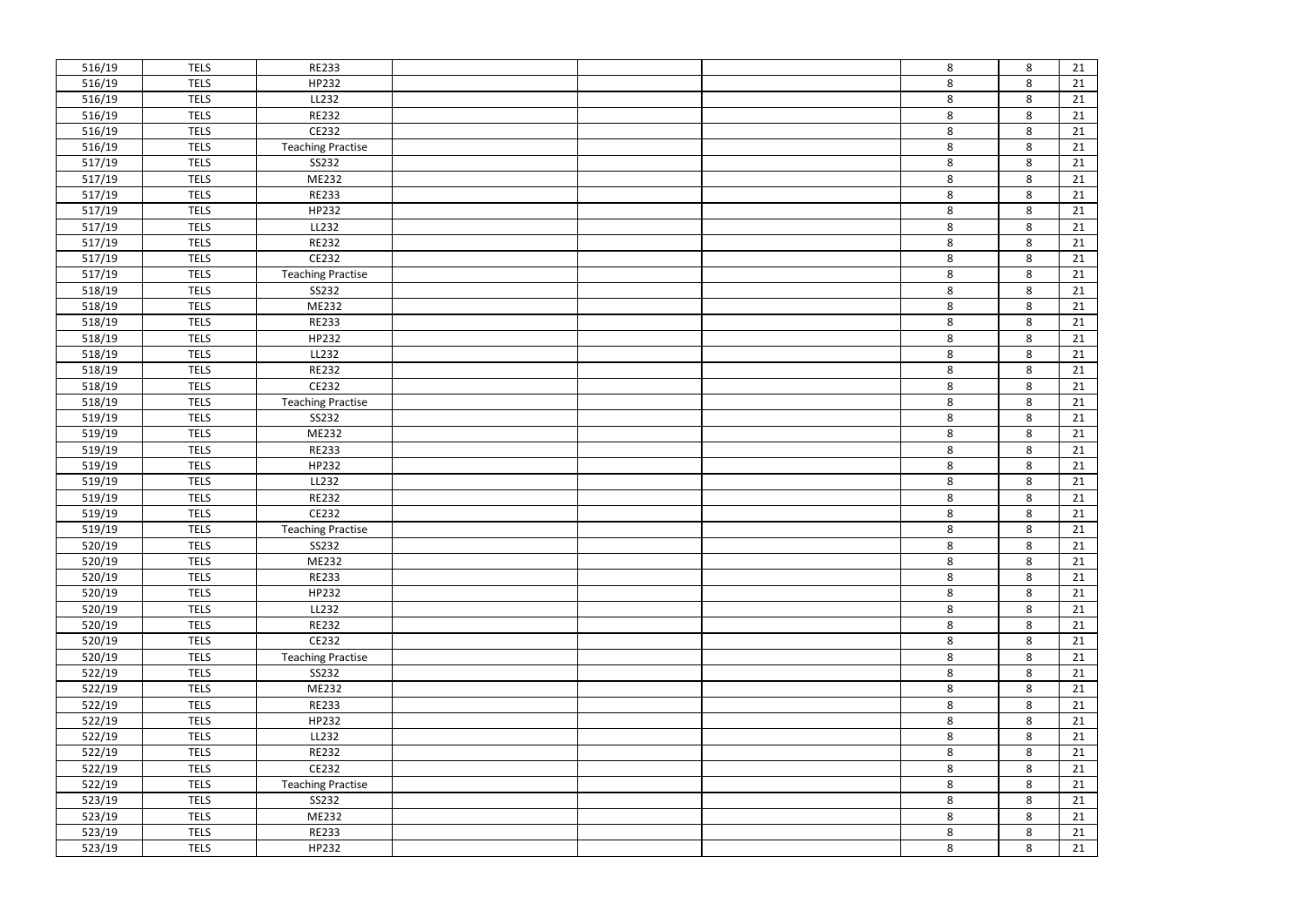| 516/19           | <b>TELS</b>                | <b>RE233</b>             |  | 8       |
|------------------|----------------------------|--------------------------|--|---------|
| 516/19           | <b>TELS</b>                | HP232                    |  | 8       |
| 516/19           | <b>TELS</b>                | LL232                    |  | 8       |
| 516/19           | <b>TELS</b>                | <b>RE232</b>             |  | 8       |
| 516/19           | <b>TELS</b>                | CE232                    |  | 8       |
| 516/19           | <b>TELS</b>                | <b>Teaching Practise</b> |  | 8       |
| 517/19           | <b>TELS</b>                | SS232                    |  | 8       |
| 517/19           | <b>TELS</b>                | ME232                    |  | 8       |
| 517/19           | <b>TELS</b>                | <b>RE233</b>             |  | 8       |
| 517/19           | <b>TELS</b>                | HP232                    |  | 8       |
| 517/19           | <b>TELS</b>                | LL232                    |  | $\bf 8$ |
| 517/19           | <b>TELS</b>                | <b>RE232</b>             |  | 8       |
| 517/19           | <b>TELS</b>                | CE232                    |  | 8       |
| 517/19           | <b>TELS</b>                | <b>Teaching Practise</b> |  | 8       |
| 518/19           | <b>TELS</b>                | SS232                    |  | 8       |
| 518/19           | <b>TELS</b>                | ME232                    |  | 8       |
| 518/19           | <b>TELS</b>                | <b>RE233</b>             |  | 8       |
| 518/19           | <b>TELS</b>                | HP232                    |  | 8       |
| 518/19           | <b>TELS</b>                | LL232                    |  | 8       |
| 518/19           | <b>TELS</b>                | <b>RE232</b>             |  | 8       |
| 518/19           | <b>TELS</b>                | CE232                    |  | 8       |
| 518/19           | <b>TELS</b>                | <b>Teaching Practise</b> |  | $\bf 8$ |
| 519/19           | <b>TELS</b>                | SS232                    |  | 8       |
| 519/19           | <b>TELS</b>                | ME232                    |  | 8       |
| 519/19           | <b>TELS</b>                | <b>RE233</b>             |  | 8       |
| 519/19           | <b>TELS</b>                | HP232                    |  | 8       |
| 519/19           | <b>TELS</b>                | LL232                    |  | 8       |
| 519/19           | <b>TELS</b>                | <b>RE232</b>             |  | 8       |
| 519/19           | <b>TELS</b>                | CE232                    |  | 8       |
| 519/19           | <b>TELS</b>                | <b>Teaching Practise</b> |  | 8       |
| 520/19           | <b>TELS</b>                | SS232                    |  | 8       |
| 520/19           | <b>TELS</b>                | ME232                    |  | 8       |
| 520/19           | <b>TELS</b>                | <b>RE233</b>             |  | 8       |
| 520/19           | <b>TELS</b>                | HP232                    |  | 8       |
| 520/19           | <b>TELS</b>                | LL232                    |  | 8       |
| 520/19           | <b>TELS</b>                | <b>RE232</b>             |  | 8       |
| 520/19           | <b>TELS</b>                | CE232                    |  | 8       |
| 520/19           | <b>TELS</b>                | <b>Teaching Practise</b> |  | 8       |
| 522/19           | <b>TELS</b>                | SS232                    |  | 8       |
| 522/19           | <b>TELS</b>                | ME232                    |  | 8       |
| 522/19           | <b>TELS</b>                | <b>RE233</b>             |  | 8       |
| 522/19           | <b>TELS</b>                | HP232                    |  | 8       |
| 522/19           | <b>TELS</b>                | LL232                    |  | 8       |
| 522/19           | <b>TELS</b>                | <b>RE232</b>             |  | 8       |
| 522/19           | <b>TELS</b>                | CE232                    |  | 8       |
| 522/19           | <b>TELS</b>                | <b>Teaching Practise</b> |  | 8       |
| 523/19           | <b>TELS</b>                | SS232                    |  | 8       |
| 523/19           | <b>TELS</b>                | ME232                    |  | 8       |
|                  |                            |                          |  |         |
| 523/19<br>523/19 | <b>TELS</b><br><b>TELS</b> | <b>RE233</b><br>HP232    |  | 8<br>8  |

| 8 | 21              |
|---|-----------------|
| 8 | 21              |
| 8 | 21              |
| 8 | 21              |
| 8 | $\overline{21}$ |
| 8 | 21              |
| 8 | 21              |
| 8 | 21              |
| 8 | 21              |
| 8 | $\frac{1}{21}$  |
| 8 | 21              |
| 8 | $\overline{21}$ |
| 8 | 21              |
| 8 | 21              |
| 8 | 21              |
| 8 | $\overline{21}$ |
| 8 | 21              |
| 8 | 21              |
| 8 | $\overline{21}$ |
| 8 | 21              |
| 8 | 21              |
| 8 | 21              |
| 8 | 21              |
| 8 | <b>21</b>       |
| 8 | 21              |
| 8 | 21              |
| 8 | 21              |
| 8 | 21              |
| 8 | 21              |
| 8 | 21              |
| 8 | $\overline{21}$ |
| 8 | 21              |
| 8 | $\overline{21}$ |
| 8 | 21              |
| 8 | 21              |
| 8 | 21              |
| 8 | 21              |
| 8 | 21              |
| 8 | 21              |
| 8 | 21              |
| 8 | 21              |
| 8 | 21              |
| 8 | 21              |
| 8 | 21              |
| 8 | 21              |
| 8 | 21              |
| 8 | 21              |
| 8 | $\overline{21}$ |
| 8 | 21              |
| 8 | $\overline{21}$ |
|   |                 |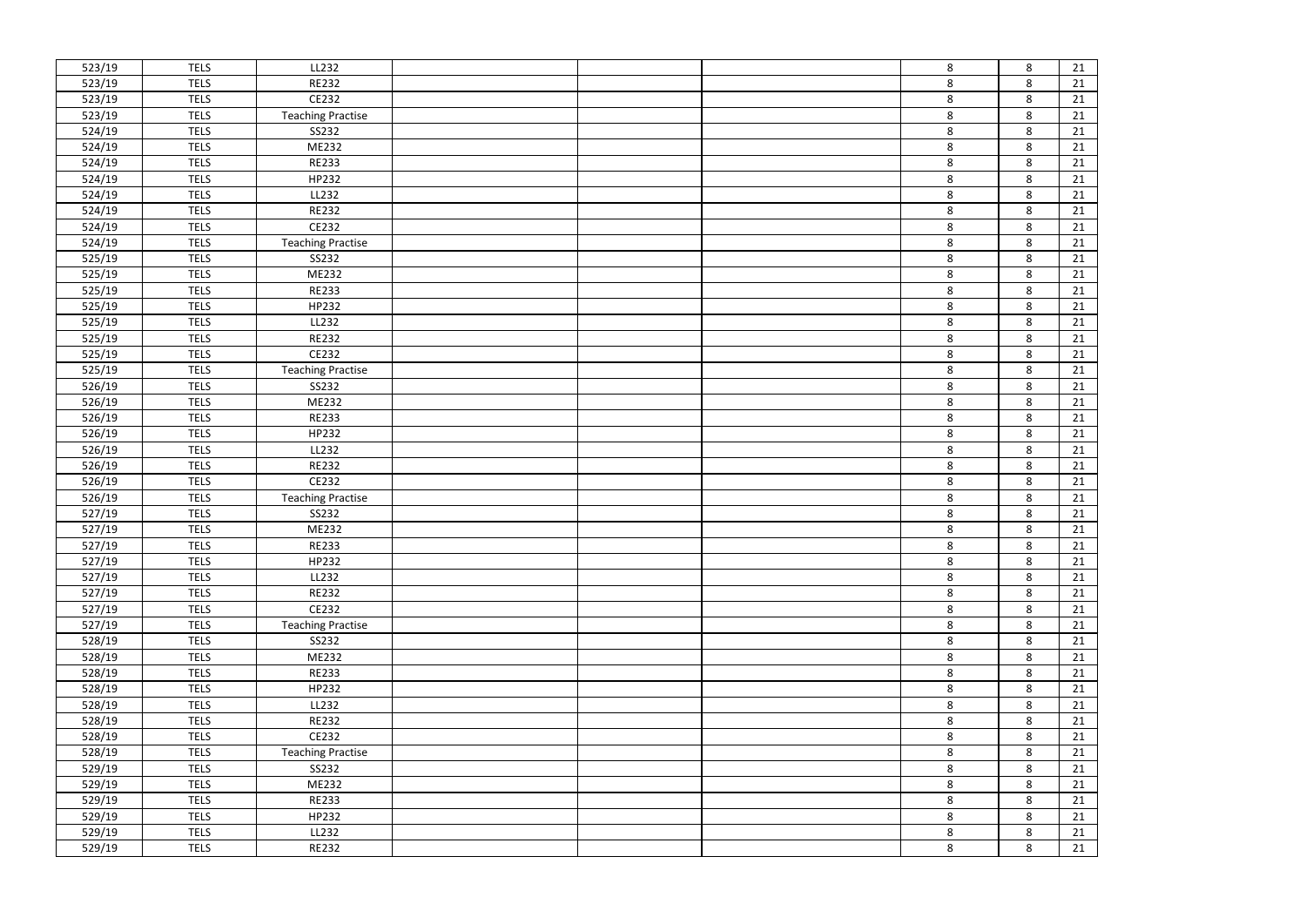| 523/19 | <b>TELS</b> | LL232                    |  | 8       |
|--------|-------------|--------------------------|--|---------|
| 523/19 | <b>TELS</b> | <b>RE232</b>             |  | 8       |
| 523/19 | <b>TELS</b> | CE232                    |  | 8       |
| 523/19 | <b>TELS</b> | <b>Teaching Practise</b> |  | 8       |
| 524/19 | <b>TELS</b> | SS232                    |  | 8       |
| 524/19 | <b>TELS</b> | ME232                    |  | 8       |
| 524/19 | <b>TELS</b> | <b>RE233</b>             |  | 8       |
| 524/19 | <b>TELS</b> | HP232                    |  | 8       |
| 524/19 | <b>TELS</b> | LL232                    |  | 8       |
| 524/19 | <b>TELS</b> | <b>RE232</b>             |  | 8       |
| 524/19 | <b>TELS</b> | CE232                    |  | 8       |
| 524/19 | <b>TELS</b> | <b>Teaching Practise</b> |  | 8       |
| 525/19 | <b>TELS</b> | SS232                    |  | 8       |
| 525/19 | <b>TELS</b> | ME232                    |  | 8       |
| 525/19 | <b>TELS</b> | <b>RE233</b>             |  | 8       |
| 525/19 | <b>TELS</b> | HP232                    |  | 8       |
| 525/19 | <b>TELS</b> | LL232                    |  | 8       |
| 525/19 | <b>TELS</b> | <b>RE232</b>             |  | 8       |
| 525/19 | <b>TELS</b> | CE232                    |  | 8       |
| 525/19 | <b>TELS</b> | <b>Teaching Practise</b> |  | 8       |
| 526/19 | <b>TELS</b> | SS232                    |  | 8       |
| 526/19 | <b>TELS</b> | ME232                    |  | 8       |
| 526/19 | <b>TELS</b> | <b>RE233</b>             |  | 8       |
| 526/19 | <b>TELS</b> | HP232                    |  | 8       |
| 526/19 | <b>TELS</b> | LL232                    |  | 8       |
| 526/19 | <b>TELS</b> | <b>RE232</b>             |  | 8       |
| 526/19 | <b>TELS</b> | CE232                    |  | 8       |
| 526/19 | <b>TELS</b> | <b>Teaching Practise</b> |  | 8       |
| 527/19 | <b>TELS</b> | SS232                    |  | 8       |
| 527/19 | <b>TELS</b> | ME232                    |  | 8       |
| 527/19 | <b>TELS</b> | <b>RE233</b>             |  | 8       |
| 527/19 | <b>TELS</b> | HP232                    |  | 8       |
| 527/19 | <b>TELS</b> | LL232                    |  | 8       |
| 527/19 | <b>TELS</b> | <b>RE232</b>             |  | 8       |
| 527/19 | <b>TELS</b> | CE232                    |  | 8       |
| 527/19 | <b>TELS</b> | <b>Teaching Practise</b> |  | 8       |
| 528/19 | <b>TELS</b> | SS232                    |  | 8       |
| 528/19 | <b>TELS</b> | ME232                    |  | 8       |
| 528/19 | <b>TELS</b> | <b>RE233</b>             |  | 8       |
| 528/19 | <b>TELS</b> | HP232                    |  | 8       |
| 528/19 | <b>TELS</b> | LL232                    |  | $\bf 8$ |
| 528/19 | <b>TELS</b> | <b>RE232</b>             |  | 8       |
| 528/19 | <b>TELS</b> | CE232                    |  | 8       |
| 528/19 | <b>TELS</b> | <b>Teaching Practise</b> |  | 8       |
| 529/19 | <b>TELS</b> | SS232                    |  | 8       |
| 529/19 | <b>TELS</b> | ME232                    |  | 8       |
| 529/19 | <b>TELS</b> | <b>RE233</b>             |  | 8       |
| 529/19 | <b>TELS</b> | HP232                    |  | 8       |
| 529/19 | <b>TELS</b> | LL232                    |  | 8       |
| 529/19 | <b>TELS</b> | <b>RE232</b>             |  | 8       |

| 8 | 21              |
|---|-----------------|
| 8 | 21              |
| 8 | 21              |
| 8 | 21              |
| 8 | $\overline{21}$ |
| 8 | 21              |
| 8 | 21              |
| 8 | 21              |
| 8 | 21              |
| 8 | $\frac{1}{21}$  |
| 8 | 21              |
| 8 | $\overline{21}$ |
| 8 | 21              |
| 8 | 21              |
| 8 | 21              |
| 8 | $\overline{21}$ |
| 8 | 21              |
| 8 | 21              |
| 8 | $\overline{21}$ |
| 8 | 21              |
| 8 | 21              |
| 8 | 21              |
| 8 | 21              |
| 8 | <b>21</b>       |
| 8 | 21              |
| 8 | 21              |
| 8 | 21              |
| 8 | 21              |
| 8 | 21              |
| 8 | 21              |
| 8 | $\overline{21}$ |
| 8 | 21              |
| 8 | $\overline{21}$ |
| 8 | 21              |
| 8 | 21              |
| 8 | 21              |
| 8 | 21              |
| 8 | 21              |
| 8 | 21              |
| 8 | 21              |
| 8 | 21              |
| 8 | 21              |
| 8 | 21              |
| 8 | 21              |
| 8 | 21              |
| 8 | 21              |
| 8 | 21              |
| 8 | $\overline{21}$ |
| 8 | 21              |
| 8 | $\overline{21}$ |
|   |                 |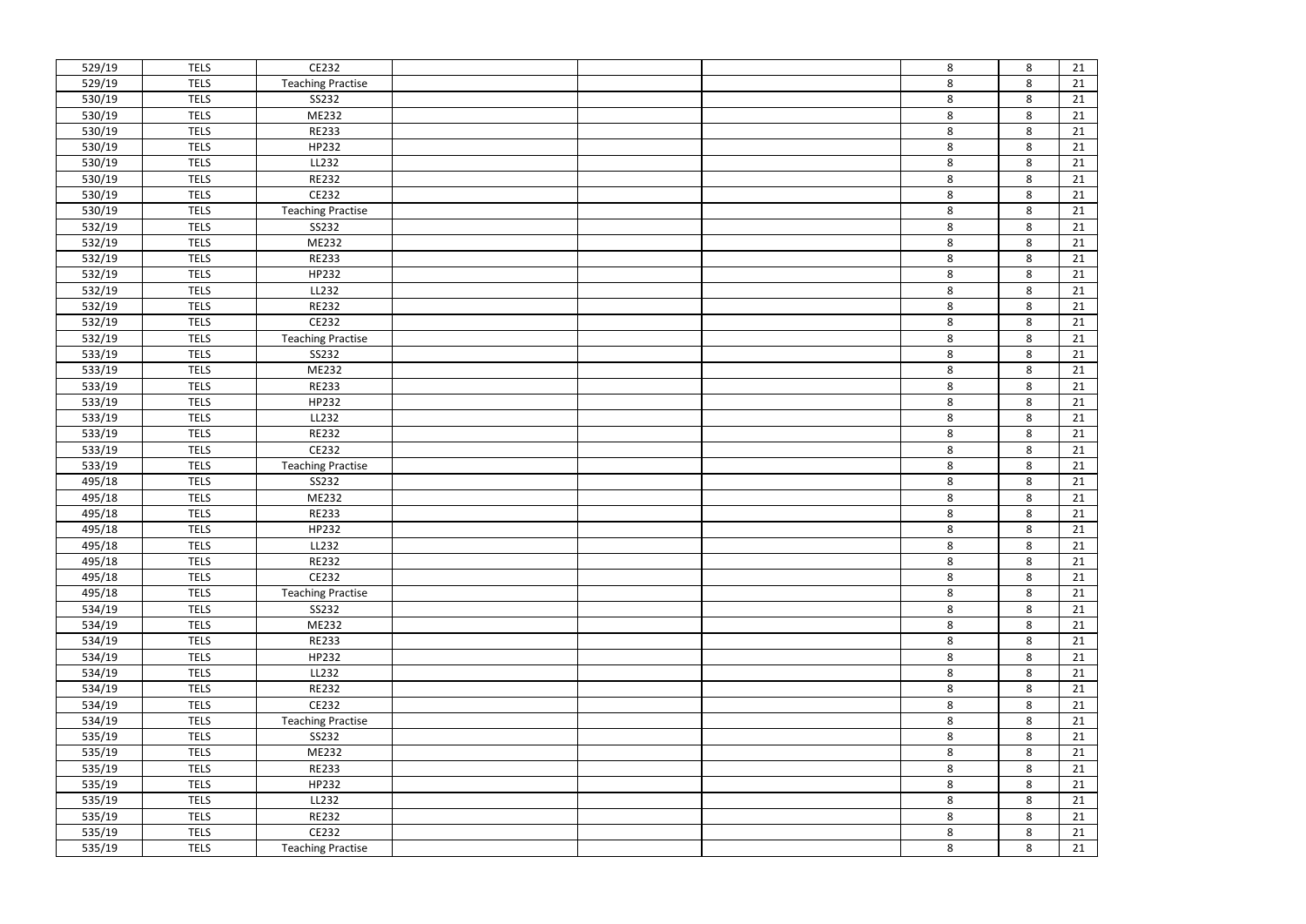| 529/19 | <b>TELS</b> | CE232                    |  | 8       |
|--------|-------------|--------------------------|--|---------|
| 529/19 | <b>TELS</b> | <b>Teaching Practise</b> |  | 8       |
| 530/19 | <b>TELS</b> | SS232                    |  | 8       |
| 530/19 | <b>TELS</b> | ME232                    |  | 8       |
| 530/19 | <b>TELS</b> | <b>RE233</b>             |  | 8       |
| 530/19 | <b>TELS</b> | HP232                    |  | 8       |
| 530/19 | <b>TELS</b> | LL232                    |  | 8       |
| 530/19 | <b>TELS</b> | <b>RE232</b>             |  | 8       |
| 530/19 | <b>TELS</b> | CE232                    |  | 8       |
| 530/19 | <b>TELS</b> | <b>Teaching Practise</b> |  | 8       |
| 532/19 | <b>TELS</b> | SS232                    |  | 8       |
| 532/19 | <b>TELS</b> | ME232                    |  | 8       |
| 532/19 | <b>TELS</b> | <b>RE233</b>             |  | 8       |
| 532/19 | <b>TELS</b> | HP232                    |  | 8       |
| 532/19 | <b>TELS</b> | LL232                    |  | 8       |
| 532/19 | <b>TELS</b> | <b>RE232</b>             |  | 8       |
| 532/19 | <b>TELS</b> | CE232                    |  | 8       |
| 532/19 | <b>TELS</b> | <b>Teaching Practise</b> |  | 8       |
| 533/19 | <b>TELS</b> | SS232                    |  | 8       |
| 533/19 | <b>TELS</b> | ME232                    |  | 8       |
| 533/19 | <b>TELS</b> | <b>RE233</b>             |  | 8       |
| 533/19 | <b>TELS</b> | HP232                    |  | 8       |
| 533/19 | <b>TELS</b> | LL232                    |  | 8       |
| 533/19 | <b>TELS</b> | <b>RE232</b>             |  | 8       |
| 533/19 | <b>TELS</b> | CE232                    |  | 8       |
| 533/19 | <b>TELS</b> | <b>Teaching Practise</b> |  | 8       |
| 495/18 | <b>TELS</b> | SS232                    |  | 8       |
| 495/18 | <b>TELS</b> | ME232                    |  | 8       |
| 495/18 | <b>TELS</b> | <b>RE233</b>             |  | 8       |
| 495/18 | <b>TELS</b> | HP232                    |  | 8       |
| 495/18 | <b>TELS</b> | LL232                    |  | 8       |
| 495/18 | <b>TELS</b> | <b>RE232</b>             |  | 8       |
| 495/18 | <b>TELS</b> | CE232                    |  | 8       |
| 495/18 | <b>TELS</b> | <b>Teaching Practise</b> |  | 8       |
| 534/19 | <b>TELS</b> | SS232                    |  | 8       |
| 534/19 | <b>TELS</b> | ME232                    |  | 8       |
| 534/19 | <b>TELS</b> | RE233                    |  | $\bf 8$ |
| 534/19 | <b>TELS</b> | HP232                    |  | 8       |
| 534/19 | <b>TELS</b> | LL232                    |  | 8       |
| 534/19 | <b>TELS</b> | <b>RE232</b>             |  | 8       |
| 534/19 | <b>TELS</b> | CE232                    |  | 8       |
| 534/19 | <b>TELS</b> | <b>Teaching Practise</b> |  | 8       |
| 535/19 | <b>TELS</b> | SS232                    |  | 8       |
| 535/19 | <b>TELS</b> | ME232                    |  | 8       |
| 535/19 | <b>TELS</b> | <b>RE233</b>             |  | 8       |
| 535/19 | <b>TELS</b> | HP232                    |  | 8       |
| 535/19 | <b>TELS</b> | LL232                    |  | 8       |
| 535/19 | <b>TELS</b> | <b>RE232</b>             |  | 8       |
| 535/19 | <b>TELS</b> | CE232                    |  | 8       |
| 535/19 | <b>TELS</b> | <b>Teaching Practise</b> |  | 8       |

| 8 | 21              |
|---|-----------------|
| 8 | 21              |
| 8 | 21              |
| 8 | 21              |
| 8 | $\overline{21}$ |
| 8 | 21              |
| 8 | 21              |
| 8 | 21              |
| 8 | 21              |
| 8 | $\frac{1}{21}$  |
| 8 | 21              |
| 8 | $\overline{21}$ |
| 8 | 21              |
| 8 | 21              |
| 8 | 21              |
| 8 | $\overline{21}$ |
| 8 | 21              |
| 8 | 21              |
| 8 | $\overline{21}$ |
| 8 | 21              |
| 8 | 21              |
| 8 | 21              |
| 8 | 21              |
| 8 | <b>21</b>       |
| 8 | 21              |
| 8 | 21              |
| 8 | 21              |
| 8 | 21              |
| 8 | 21              |
| 8 | 21              |
| 8 | $\overline{21}$ |
| 8 | 21              |
| 8 | $\overline{21}$ |
| 8 | 21              |
| 8 | 21              |
| 8 | 21              |
| 8 | 21              |
| 8 | 21              |
| 8 | 21              |
| 8 | 21              |
| 8 | 21              |
| 8 | 21              |
| 8 | 21              |
| 8 | 21              |
| 8 | 21              |
| 8 | 21              |
| 8 | 21              |
| 8 | $\overline{21}$ |
| 8 | 21              |
| 8 | $\overline{21}$ |
|   |                 |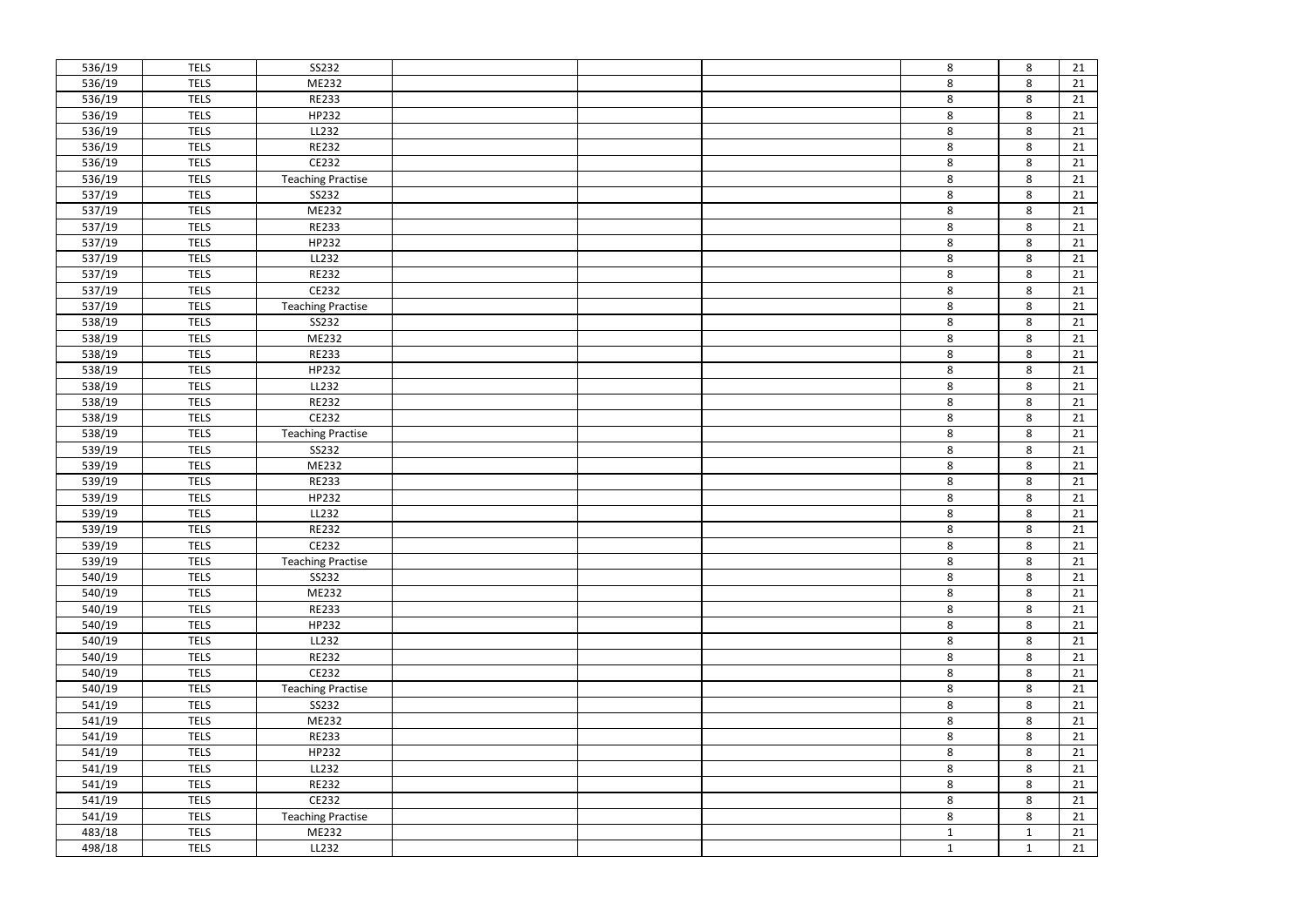| 536/19 | <b>TELS</b> | SS232                    |  | 8            |
|--------|-------------|--------------------------|--|--------------|
| 536/19 | <b>TELS</b> | ME232                    |  | 8            |
| 536/19 | <b>TELS</b> | <b>RE233</b>             |  | 8            |
| 536/19 | <b>TELS</b> | HP232                    |  | 8            |
| 536/19 | <b>TELS</b> | LL232                    |  | 8            |
| 536/19 | <b>TELS</b> | <b>RE232</b>             |  | $\bf 8$      |
| 536/19 | <b>TELS</b> | CE232                    |  | 8            |
| 536/19 | <b>TELS</b> | <b>Teaching Practise</b> |  | 8            |
| 537/19 | <b>TELS</b> | SS232                    |  | 8            |
| 537/19 | <b>TELS</b> | ME232                    |  | 8            |
| 537/19 | <b>TELS</b> | <b>RE233</b>             |  | $\bf 8$      |
| 537/19 | <b>TELS</b> | HP232                    |  | 8            |
| 537/19 | <b>TELS</b> | LL232                    |  | 8            |
| 537/19 | <b>TELS</b> | <b>RE232</b>             |  | 8            |
| 537/19 | <b>TELS</b> | CE232                    |  | 8            |
| 537/19 | <b>TELS</b> | <b>Teaching Practise</b> |  | 8            |
| 538/19 | <b>TELS</b> | SS232                    |  | 8            |
| 538/19 | <b>TELS</b> | ME232                    |  | 8            |
| 538/19 | <b>TELS</b> | <b>RE233</b>             |  | 8            |
| 538/19 | <b>TELS</b> | HP232                    |  | 8            |
| 538/19 | <b>TELS</b> | LL232                    |  | 8            |
| 538/19 | <b>TELS</b> | <b>RE232</b>             |  | $\bf 8$      |
| 538/19 | <b>TELS</b> | CE232                    |  | 8            |
| 538/19 | <b>TELS</b> | <b>Teaching Practise</b> |  | 8            |
| 539/19 | <b>TELS</b> | SS232                    |  | 8            |
| 539/19 | <b>TELS</b> | ME232                    |  | 8            |
| 539/19 | <b>TELS</b> | <b>RE233</b>             |  | 8            |
| 539/19 | <b>TELS</b> | HP232                    |  | 8            |
| 539/19 | <b>TELS</b> | LL232                    |  | 8            |
| 539/19 | <b>TELS</b> | <b>RE232</b>             |  | 8            |
| 539/19 | <b>TELS</b> | CE232                    |  | 8            |
| 539/19 | <b>TELS</b> | <b>Teaching Practise</b> |  | 8            |
| 540/19 | <b>TELS</b> | SS232                    |  | 8            |
| 540/19 | <b>TELS</b> | ME232                    |  | 8            |
| 540/19 | <b>TELS</b> | <b>RE233</b>             |  | 8            |
| 540/19 | <b>TELS</b> | HP232                    |  | 8            |
| 540/19 | <b>TELS</b> | LL232                    |  | 8            |
| 540/19 | <b>TELS</b> | <b>RE232</b>             |  | 8            |
| 540/19 | <b>TELS</b> | CE232                    |  | 8            |
| 540/19 | <b>TELS</b> | <b>Teaching Practise</b> |  | 8            |
| 541/19 | <b>TELS</b> | SS232                    |  | 8            |
| 541/19 | <b>TELS</b> | ME232                    |  | 8            |
| 541/19 | <b>TELS</b> | <b>RE233</b>             |  | 8            |
| 541/19 | <b>TELS</b> | HP232                    |  | 8            |
| 541/19 | <b>TELS</b> | LL232                    |  | 8            |
| 541/19 | <b>TELS</b> | RE232                    |  | 8            |
| 541/19 | <b>TELS</b> | CE232                    |  | 8            |
| 541/19 | <b>TELS</b> | <b>Teaching Practise</b> |  | 8            |
| 483/18 | <b>TELS</b> | ME232                    |  | $\mathbf{1}$ |
| 498/18 | <b>TELS</b> | LL232                    |  | $\mathbf{1}$ |

| 8            | 21              |
|--------------|-----------------|
| 8            | 21              |
| 8            | 21              |
| 8            | 21              |
| 8            | $\overline{21}$ |
| 8            | 21              |
| 8            | 21              |
| 8            | 21              |
| 8            | 21              |
| 8            | $\frac{1}{21}$  |
| 8            | 21              |
| 8            | $\overline{21}$ |
| 8            | 21              |
| 8            | 21              |
| 8            | 21              |
| 8            | $\overline{21}$ |
| 8            | 21              |
| 8            | 21              |
| 8            | $\overline{21}$ |
| 8            | 21              |
| 8            | 21              |
| 8            | 21              |
| 8            | 21              |
| 8            | <b>21</b>       |
| 8            | 21              |
| 8            | 21              |
| 8            | 21              |
| 8            | 21              |
| 8            | $\frac{21}{1}$  |
| 8            | 21              |
| 8            | $\overline{21}$ |
| 8            | 21              |
| 8            | $\overline{21}$ |
| 8            | 21              |
| 8            | 21              |
| 8            | 21              |
| 8            | 21              |
| 8            | 21              |
| 8            | 21              |
| 8            | 21              |
|              |                 |
| 8<br>8       | 21<br>21        |
| 8            | 21              |
|              |                 |
| 8            | 21              |
| 8            | 21              |
| 8            | 21              |
| 8            | 21              |
| 8            | $\overline{21}$ |
| 1            | 21              |
| $\mathbf{1}$ | $\overline{21}$ |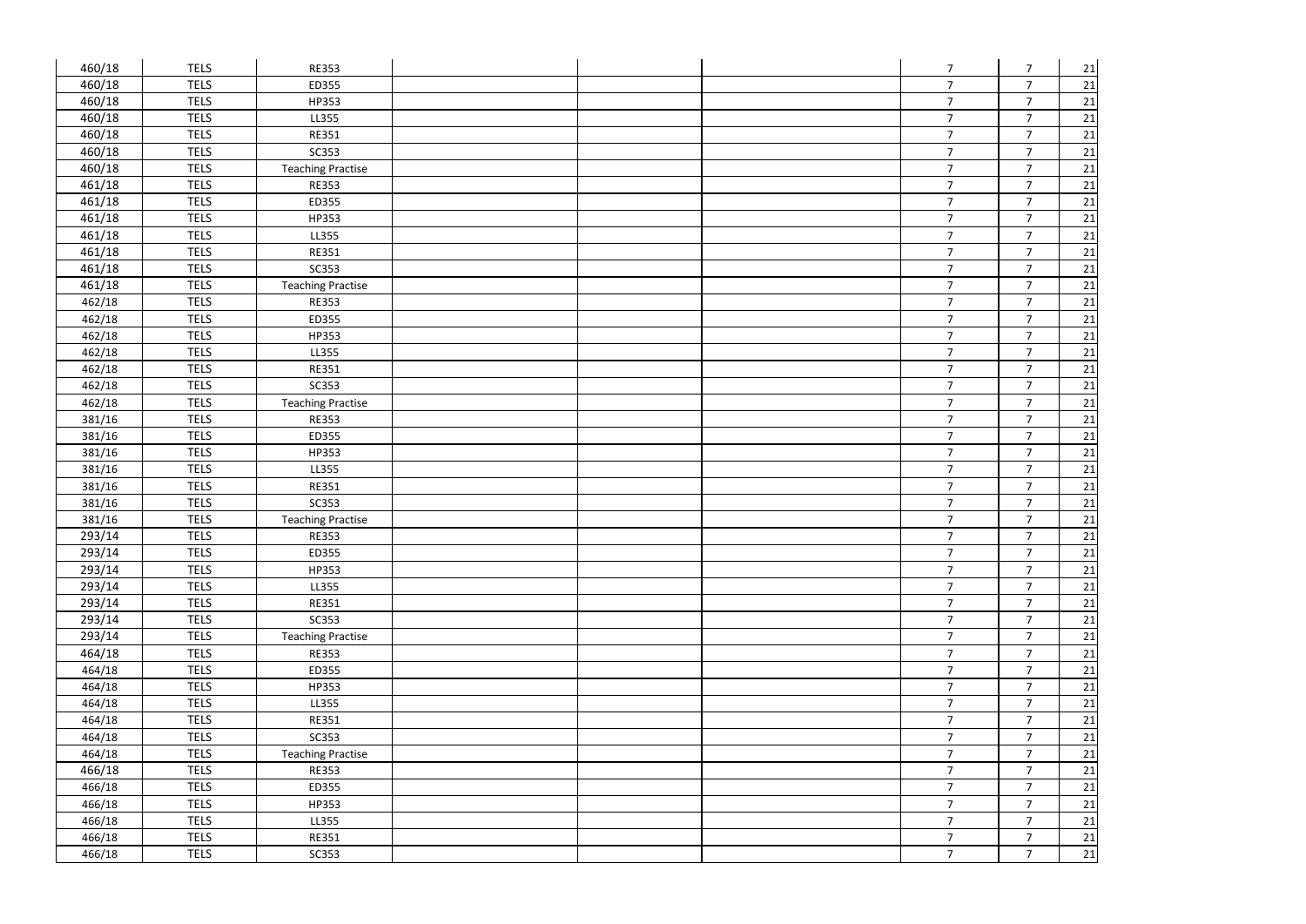| 460/18 | <b>TELS</b> | <b>RE353</b>             |  | $\overline{7}$ | $\overline{7}$ | 21     |
|--------|-------------|--------------------------|--|----------------|----------------|--------|
| 460/18 | <b>TELS</b> | ED355                    |  | $\overline{7}$ | $\overline{7}$ | 21     |
| 460/18 | <b>TELS</b> | HP353                    |  | $\overline{7}$ | $\overline{7}$ | 21     |
| 460/18 | <b>TELS</b> | LL355                    |  | $\overline{7}$ | $\overline{7}$ | 21     |
| 460/18 | <b>TELS</b> | <b>RE351</b>             |  | $\overline{7}$ | $\overline{7}$ | 21     |
| 460/18 | <b>TELS</b> | SC353                    |  | $\overline{7}$ | $\overline{7}$ | 21     |
| 460/18 | <b>TELS</b> | <b>Teaching Practise</b> |  | $\overline{7}$ | $\overline{7}$ | 21     |
| 461/18 | <b>TELS</b> | <b>RE353</b>             |  | $\overline{7}$ | $\overline{7}$ | 21     |
| 461/18 | <b>TELS</b> | ED355                    |  | $\overline{7}$ | $\overline{7}$ | 21     |
| 461/18 | <b>TELS</b> | HP353                    |  | $\overline{7}$ | $\overline{7}$ | 21     |
| 461/18 | <b>TELS</b> | LL355                    |  | $\overline{7}$ | $\overline{7}$ | 21     |
| 461/18 | <b>TELS</b> | <b>RE351</b>             |  | $\overline{7}$ | $\overline{7}$ | 21     |
| 461/18 | <b>TELS</b> | <b>SC353</b>             |  | $\overline{7}$ | $\overline{7}$ | 21     |
| 461/18 | <b>TELS</b> | <b>Teaching Practise</b> |  | $\overline{7}$ | $\overline{7}$ | 21     |
| 462/18 | <b>TELS</b> | <b>RE353</b>             |  | $\overline{7}$ | $\overline{7}$ | 21     |
| 462/18 | <b>TELS</b> | ED355                    |  | $\overline{7}$ | $\overline{7}$ | 21     |
| 462/18 | <b>TELS</b> | HP353                    |  | $\overline{7}$ | $\overline{7}$ | 21     |
| 462/18 | <b>TELS</b> | LL355                    |  | $\overline{7}$ | $\overline{7}$ | 21     |
| 462/18 | <b>TELS</b> | <b>RE351</b>             |  | $\overline{7}$ | $\overline{7}$ | 21     |
| 462/18 | <b>TELS</b> | <b>SC353</b>             |  | $\overline{7}$ | $\overline{7}$ | 21     |
| 462/18 | <b>TELS</b> | <b>Teaching Practise</b> |  | $\overline{7}$ | $\overline{7}$ | 21     |
| 381/16 | <b>TELS</b> | <b>RE353</b>             |  | $\overline{7}$ | $\overline{7}$ | 21     |
| 381/16 | <b>TELS</b> | ED355                    |  | $\overline{7}$ | $\overline{7}$ | 21     |
| 381/16 | <b>TELS</b> | HP353                    |  | $\overline{7}$ | $\overline{7}$ | 21     |
| 381/16 | <b>TELS</b> | LL355                    |  | $\overline{7}$ | $\overline{7}$ | 21     |
| 381/16 | <b>TELS</b> | <b>RE351</b>             |  | $\overline{7}$ | $\overline{7}$ | 21     |
| 381/16 | <b>TELS</b> | <b>SC353</b>             |  | $\overline{7}$ | $\overline{7}$ | 21     |
| 381/16 | <b>TELS</b> | <b>Teaching Practise</b> |  | $\overline{7}$ | $\overline{7}$ | 21     |
| 293/14 | <b>TELS</b> | <b>RE353</b>             |  | $\overline{7}$ | $\overline{7}$ | 21     |
| 293/14 | <b>TELS</b> | ED355                    |  | $\overline{7}$ | 7 <sup>7</sup> | 21     |
| 293/14 | <b>TELS</b> | HP353                    |  | 7 <sup>1</sup> | $\overline{7}$ | 21     |
| 293/14 | <b>TELS</b> | LL355                    |  | 7 <sup>7</sup> | $\overline{7}$ | 21     |
| 293/14 | <b>TELS</b> | <b>RE351</b>             |  | 7 <sup>7</sup> | $\overline{7}$ | 21     |
| 293/14 | <b>TELS</b> | <b>SC353</b>             |  | 7 <sup>1</sup> | $\overline{7}$ | 21     |
| 293/14 | <b>TELS</b> | <b>Teaching Practise</b> |  | $\overline{7}$ | $\overline{7}$ | 21     |
| 464/18 | <b>TELS</b> | <b>RE353</b>             |  | $\overline{7}$ | $\overline{7}$ | 21     |
| 464/18 | <b>TELS</b> | ED355                    |  | 7 <sup>7</sup> | $\overline{7}$ | 21     |
| 464/18 | <b>TELS</b> | HP353                    |  | 7 <sup>7</sup> | $\overline{7}$ | 21     |
| 464/18 | <b>TELS</b> | LL355                    |  | 7 <sup>7</sup> | $\overline{7}$ | 21     |
| 464/18 | <b>TELS</b> | <b>RE351</b>             |  | 7 <sup>1</sup> | $\overline{7}$ | 21     |
| 464/18 | <b>TELS</b> | <b>SC353</b>             |  | 7 <sup>7</sup> | $\overline{7}$ | 21     |
| 464/18 | <b>TELS</b> | <b>Teaching Practise</b> |  | $\overline{7}$ | $\overline{7}$ | 21     |
| 466/18 | <b>TELS</b> | <b>RE353</b>             |  | 7 <sup>7</sup> | $\overline{7}$ | 21     |
| 466/18 | <b>TELS</b> | ED355                    |  | 7 <sup>1</sup> | $\overline{7}$ | 21     |
| 466/18 | <b>TELS</b> | HP353                    |  | 7 <sup>7</sup> | $\overline{7}$ | 21     |
| 466/18 | <b>TELS</b> | LL355                    |  | 7 <sup>1</sup> | $\overline{7}$ | 21     |
| 466/18 | <b>TELS</b> | <b>RE351</b>             |  | $\overline{7}$ | $\overline{7}$ | $21\,$ |
| 466/18 | <b>TELS</b> | <b>SC353</b>             |  | $\overline{7}$ | $\overline{7}$ | 21     |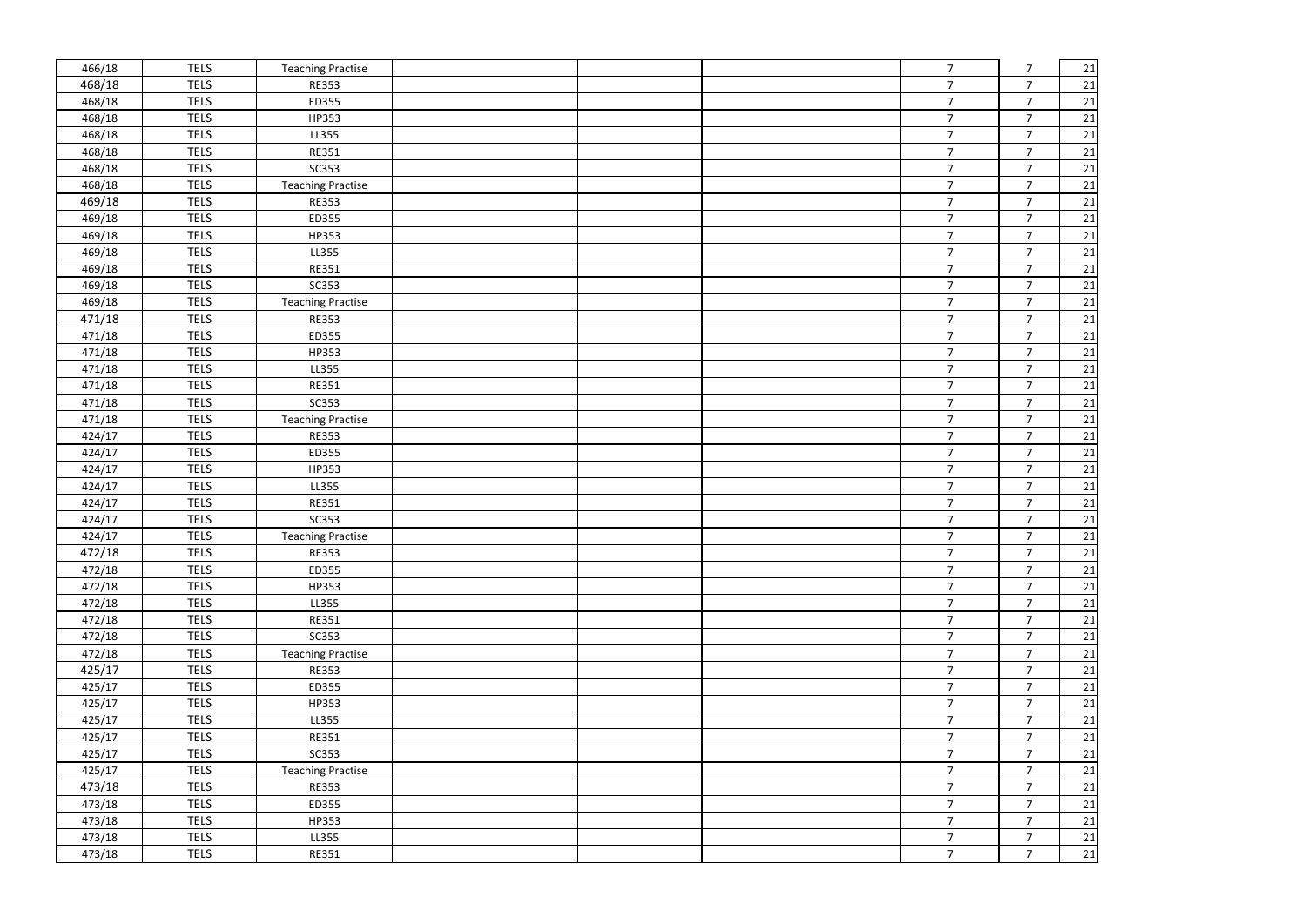| 466/18 | <b>TELS</b> | <b>Teaching Practise</b> |  | 7 <sup>1</sup> | $\overline{7}$ | 21     |
|--------|-------------|--------------------------|--|----------------|----------------|--------|
| 468/18 | <b>TELS</b> | <b>RE353</b>             |  | 7 <sup>1</sup> | $\overline{7}$ | 21     |
| 468/18 | <b>TELS</b> | ED355                    |  | 7 <sup>1</sup> | $\overline{7}$ | 21     |
| 468/18 | <b>TELS</b> | HP353                    |  | $\overline{7}$ | $\overline{7}$ | 21     |
| 468/18 | <b>TELS</b> | LL355                    |  | $\overline{7}$ | $\overline{7}$ | 21     |
| 468/18 | <b>TELS</b> | <b>RE351</b>             |  | $\overline{7}$ | $\overline{7}$ | 21     |
| 468/18 | <b>TELS</b> | SC353                    |  | 7 <sup>1</sup> | $\overline{7}$ | 21     |
| 468/18 | <b>TELS</b> | <b>Teaching Practise</b> |  | $\overline{7}$ | $\overline{7}$ | 21     |
| 469/18 | <b>TELS</b> | <b>RE353</b>             |  | 7 <sup>1</sup> | $\overline{7}$ | 21     |
| 469/18 | <b>TELS</b> | ED355                    |  | $\overline{7}$ | $\overline{7}$ | $21\,$ |
| 469/18 | <b>TELS</b> | HP353                    |  | $\overline{7}$ | $\overline{7}$ | 21     |
| 469/18 | <b>TELS</b> | LL355                    |  | $\overline{7}$ | $\overline{7}$ | 21     |
| 469/18 | <b>TELS</b> | <b>RE351</b>             |  | $\overline{7}$ | $\overline{7}$ | 21     |
| 469/18 | <b>TELS</b> | <b>SC353</b>             |  | 7 <sup>1</sup> | $\overline{7}$ | 21     |
| 469/18 | <b>TELS</b> | <b>Teaching Practise</b> |  | 7 <sup>1</sup> | $\overline{7}$ | 21     |
| 471/18 | <b>TELS</b> | <b>RE353</b>             |  | $\overline{7}$ | $\overline{7}$ | 21     |
| 471/18 | <b>TELS</b> | ED355                    |  | $\overline{7}$ | $\overline{7}$ | 21     |
| 471/18 | <b>TELS</b> | HP353                    |  | $\overline{7}$ | $\overline{7}$ | 21     |
| 471/18 | <b>TELS</b> | LL355                    |  | $\overline{7}$ | $\overline{7}$ | 21     |
| 471/18 | <b>TELS</b> | <b>RE351</b>             |  | $\overline{7}$ | $\overline{7}$ | 21     |
| 471/18 | <b>TELS</b> | <b>SC353</b>             |  | 7 <sup>1</sup> | $\overline{7}$ | 21     |
| 471/18 | <b>TELS</b> | <b>Teaching Practise</b> |  | $\overline{7}$ | $\overline{7}$ | 21     |
| 424/17 | <b>TELS</b> | <b>RE353</b>             |  | $\overline{7}$ | $\overline{7}$ | $21\,$ |
| 424/17 | <b>TELS</b> | ED355                    |  | $\overline{7}$ | $\overline{7}$ | 21     |
| 424/17 | <b>TELS</b> | HP353                    |  | $\overline{7}$ | $\overline{7}$ | 21     |
| 424/17 | <b>TELS</b> | LL355                    |  | $\overline{7}$ | $\overline{7}$ | 21     |
| 424/17 | <b>TELS</b> | <b>RE351</b>             |  | 7 <sup>1</sup> | $\overline{7}$ | 21     |
| 424/17 | <b>TELS</b> | SC353                    |  | $\overline{7}$ | $\overline{7}$ | 21     |
| 424/17 | <b>TELS</b> | <b>Teaching Practise</b> |  | $\overline{7}$ | $\overline{7}$ | $21\,$ |
| 472/18 | <b>TELS</b> | <b>RE353</b>             |  | $\overline{7}$ | $\rightarrow$  | 21     |
| 472/18 | <b>TELS</b> | ED355                    |  | $\overline{7}$ | $\overline{7}$ | 21     |
| 472/18 | <b>TELS</b> | HP353                    |  | 7 <sup>1</sup> | $\overline{7}$ | 21     |
| 472/18 | <b>TELS</b> | LL355                    |  | 7 <sup>7</sup> | $\overline{7}$ | 21     |
| 472/18 | <b>TELS</b> | <b>RE351</b>             |  | 7 <sup>1</sup> | $\overline{7}$ | 21     |
| 472/18 | <b>TELS</b> | <b>SC353</b>             |  | 7 <sup>7</sup> | $\overline{7}$ | 21     |
| 472/18 | <b>TELS</b> | <b>Teaching Practise</b> |  | 7 <sup>7</sup> | $\overline{7}$ | $21\,$ |
| 425/17 | <b>TELS</b> | <b>RE353</b>             |  | 7 <sup>1</sup> | $\overline{7}$ | $21\,$ |
| 425/17 | <b>TELS</b> | ED355                    |  | 7 <sup>1</sup> | $\overline{7}$ | 21     |
| 425/17 | <b>TELS</b> | HP353                    |  | 7 <sup>7</sup> | $\overline{7}$ | 21     |
| 425/17 | <b>TELS</b> | LL355                    |  | 7 <sup>7</sup> | $\overline{7}$ | 21     |
| 425/17 | <b>TELS</b> | <b>RE351</b>             |  | 7 <sup>1</sup> | $\overline{7}$ | $21\,$ |
| 425/17 | <b>TELS</b> | SC353                    |  | 7 <sup>7</sup> | $\overline{7}$ | 21     |
| 425/17 | <b>TELS</b> | <b>Teaching Practise</b> |  | 7 <sup>1</sup> | $\overline{7}$ | $21\,$ |
| 473/18 | <b>TELS</b> | <b>RE353</b>             |  | 7 <sup>7</sup> | $\overline{7}$ | 21     |
| 473/18 | <b>TELS</b> | ED355                    |  | 7 <sup>7</sup> | $\overline{7}$ | 21     |
| 473/18 | <b>TELS</b> | HP353                    |  | 7 <sup>1</sup> | $\overline{7}$ | 21     |
| 473/18 | <b>TELS</b> | LL355                    |  | 7 <sup>1</sup> | $\overline{7}$ | 21     |
| 473/18 | <b>TELS</b> | <b>RE351</b>             |  | 7 <sup>7</sup> | $\overline{7}$ | 21     |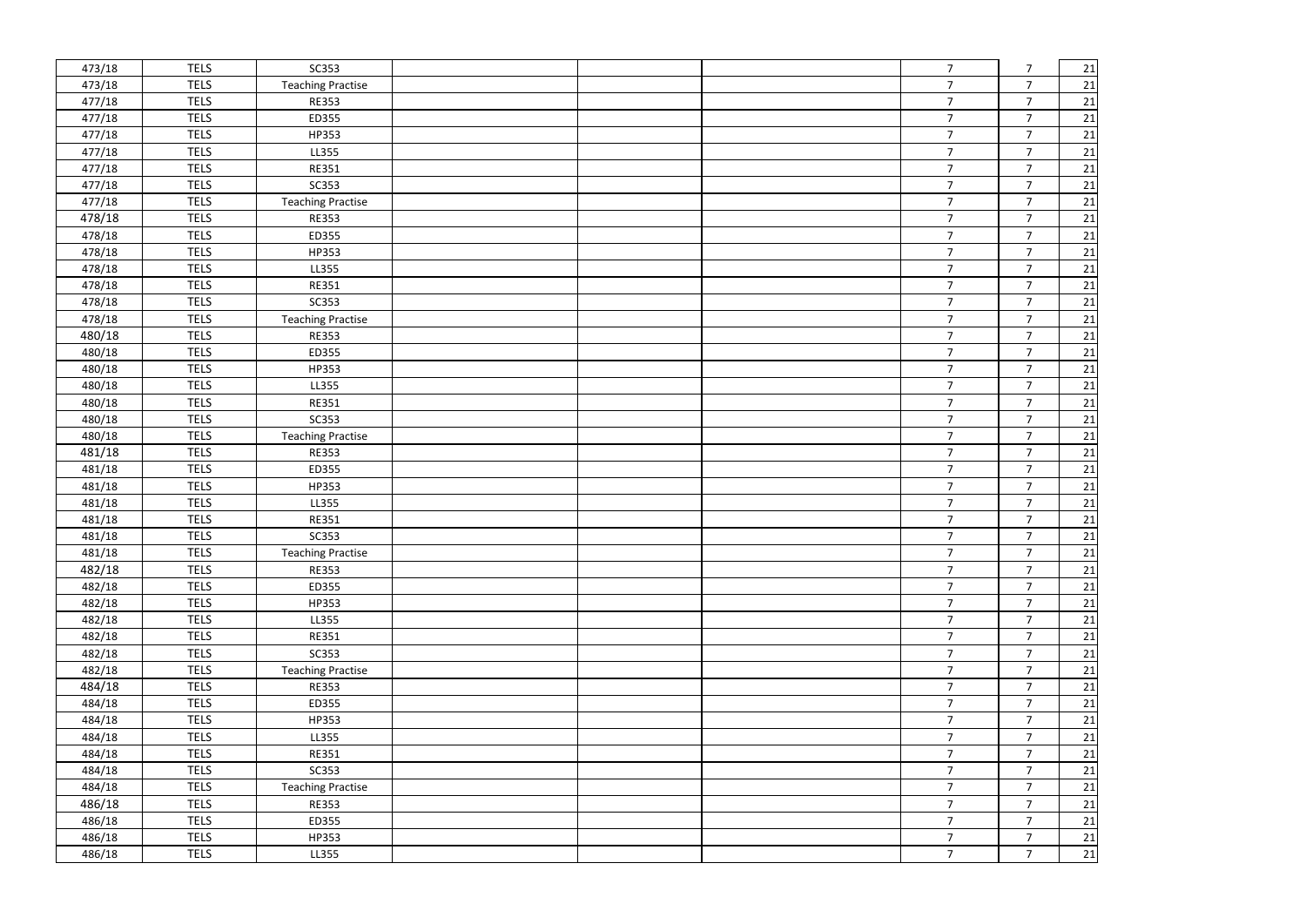| 473/18 | <b>TELS</b> | <b>SC353</b>             |  | $7\overline{ }$ | $\overline{7}$  | 21              |
|--------|-------------|--------------------------|--|-----------------|-----------------|-----------------|
| 473/18 | <b>TELS</b> | <b>Teaching Practise</b> |  | $\overline{7}$  | $\overline{7}$  | 21              |
| 477/18 | <b>TELS</b> | <b>RE353</b>             |  | $\overline{7}$  | $\overline{7}$  | 21              |
| 477/18 | <b>TELS</b> | ED355                    |  | $\overline{7}$  | $\overline{7}$  | 21              |
| 477/18 | <b>TELS</b> | HP353                    |  | $\overline{7}$  | $\overline{7}$  | 21              |
| 477/18 | <b>TELS</b> | LL355                    |  | $\overline{7}$  | $\overline{7}$  | 21              |
| 477/18 | <b>TELS</b> | <b>RE351</b>             |  | $\overline{7}$  | $\overline{7}$  | $\overline{21}$ |
| 477/18 | <b>TELS</b> | <b>SC353</b>             |  | $\overline{7}$  | $\overline{7}$  | 21              |
| 477/18 | <b>TELS</b> | <b>Teaching Practise</b> |  | $\overline{7}$  | $\overline{7}$  | 21              |
| 478/18 | <b>TELS</b> | <b>RE353</b>             |  | $\overline{7}$  | $\overline{7}$  | $21\,$          |
| 478/18 | <b>TELS</b> | ED355                    |  | $\overline{7}$  | $\overline{7}$  | 21              |
| 478/18 | <b>TELS</b> | HP353                    |  | $\overline{7}$  | $\overline{7}$  | 21              |
| 478/18 | <b>TELS</b> | LL355                    |  | $\overline{7}$  | $\overline{7}$  | 21              |
| 478/18 | <b>TELS</b> | <b>RE351</b>             |  | 7 <sup>1</sup>  | $\overline{7}$  | 21              |
| 478/18 | <b>TELS</b> | <b>SC353</b>             |  | $\overline{7}$  | $\overline{7}$  | 21              |
| 478/18 | <b>TELS</b> | <b>Teaching Practise</b> |  | $\overline{7}$  | $\overline{7}$  | 21              |
| 480/18 | <b>TELS</b> | <b>RE353</b>             |  | $\overline{7}$  | $\overline{7}$  | 21              |
| 480/18 | <b>TELS</b> | ED355                    |  | $\overline{7}$  | $\overline{7}$  | 21              |
| 480/18 | <b>TELS</b> | HP353                    |  | $\overline{7}$  | $\overline{7}$  | 21              |
| 480/18 | <b>TELS</b> | LL355                    |  | $\overline{7}$  | $\overline{7}$  | 21              |
| 480/18 | <b>TELS</b> | <b>RE351</b>             |  | $\overline{7}$  | $\overline{7}$  | 21              |
| 480/18 | <b>TELS</b> | <b>SC353</b>             |  | $\overline{7}$  | $\overline{7}$  | 21              |
| 480/18 | <b>TELS</b> | <b>Teaching Practise</b> |  | $\overline{7}$  | $\overline{7}$  | 21              |
| 481/18 | <b>TELS</b> | <b>RE353</b>             |  | $\overline{7}$  | $\overline{7}$  | 21              |
| 481/18 | <b>TELS</b> | ED355                    |  | $\overline{7}$  | $\overline{7}$  | 21              |
| 481/18 | <b>TELS</b> | HP353                    |  | $\overline{7}$  | $\overline{7}$  | 21              |
| 481/18 | <b>TELS</b> | LL355                    |  | $\overline{7}$  | $\overline{7}$  | 21              |
| 481/18 | <b>TELS</b> | <b>RE351</b>             |  | $\overline{7}$  | $\overline{7}$  | 21              |
| 481/18 | <b>TELS</b> | <b>SC353</b>             |  | $\overline{7}$  | $\overline{7}$  | 21              |
| 481/18 | <b>TELS</b> | <b>Teaching Practise</b> |  | $\overline{7}$  | $\overline{7}$  | 21              |
| 482/18 | <b>TELS</b> | <b>RE353</b>             |  | $\overline{7}$  | $\overline{7}$  | 21              |
| 482/18 | <b>TELS</b> | ED355                    |  | $\overline{7}$  | $\overline{7}$  | 21              |
| 482/18 | <b>TELS</b> | HP353                    |  | 7 <sup>7</sup>  | $\overline{7}$  | 21              |
| 482/18 | <b>TELS</b> | LL355                    |  | 7 <sup>1</sup>  | $\overline{7}$  | 21              |
| 482/18 | <b>TELS</b> | <b>RE351</b>             |  | 7 <sup>7</sup>  | $\overline{7}$  | 21              |
| 482/18 | <b>TELS</b> | <b>SC353</b>             |  | 7 <sup>7</sup>  | $\overline{7}$  | 21              |
| 482/18 | <b>TELS</b> | <b>Teaching Practise</b> |  | 7 <sup>7</sup>  | $\overline{7}$  | $21\,$          |
| 484/18 | <b>TELS</b> | <b>RE353</b>             |  | $7\overline{ }$ | $7\overline{ }$ | 21              |
| 484/18 | <b>TELS</b> | ED355                    |  | 7 <sup>7</sup>  | $\overline{7}$  | 21              |
| 484/18 | <b>TELS</b> | HP353                    |  | 7 <sup>7</sup>  | $\overline{7}$  | 21              |
| 484/18 | <b>TELS</b> | LL355                    |  | 7 <sup>7</sup>  | $\overline{7}$  | 21              |
| 484/18 | <b>TELS</b> | <b>RE351</b>             |  | 7 <sup>7</sup>  | $\overline{7}$  | 21              |
| 484/18 | <b>TELS</b> | <b>SC353</b>             |  | 7 <sup>7</sup>  | $\overline{7}$  | 21              |
| 484/18 | <b>TELS</b> | <b>Teaching Practise</b> |  | 7 <sup>1</sup>  | $\overline{7}$  | 21              |
| 486/18 | <b>TELS</b> | <b>RE353</b>             |  | 7 <sup>7</sup>  | $\overline{7}$  | $21\,$          |
| 486/18 | <b>TELS</b> | ED355                    |  | $\overline{7}$  | $\overline{7}$  | 21              |
| 486/18 | <b>TELS</b> | HP353                    |  | $\overline{7}$  | $\overline{7}$  | 21              |
| 486/18 | <b>TELS</b> | LL355                    |  | 7 <sup>7</sup>  | $\overline{7}$  | 21              |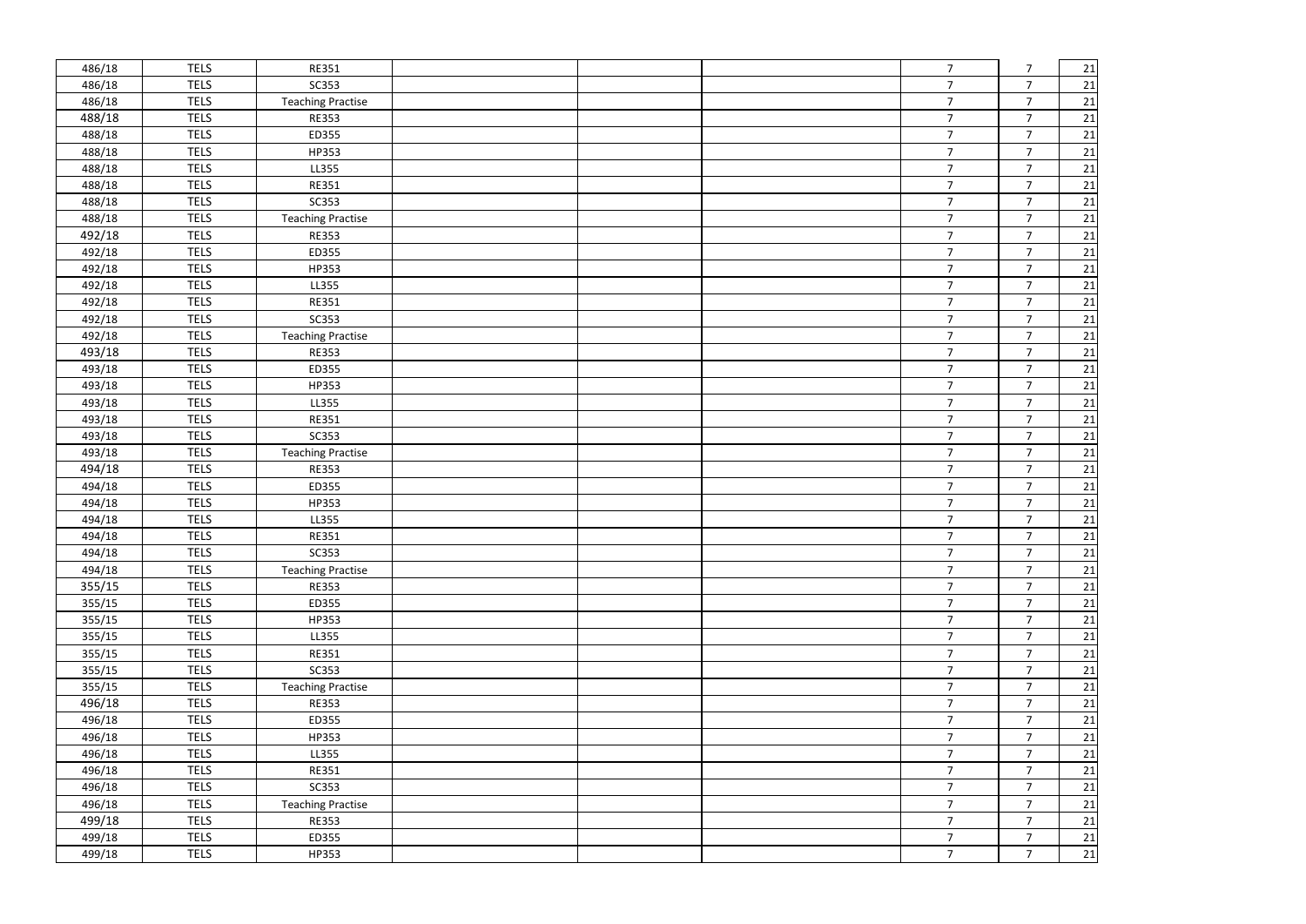| 486/18 | <b>TELS</b> | <b>RE351</b>             |  | $\overline{7}$ | $\overline{7}$ | 21     |
|--------|-------------|--------------------------|--|----------------|----------------|--------|
| 486/18 | <b>TELS</b> | SC353                    |  | $\overline{7}$ | $\overline{7}$ | 21     |
| 486/18 | <b>TELS</b> | <b>Teaching Practise</b> |  | 7 <sup>1</sup> | $\overline{7}$ | 21     |
| 488/18 | <b>TELS</b> | <b>RE353</b>             |  | 7 <sup>1</sup> | $\overline{7}$ | 21     |
| 488/18 | <b>TELS</b> | ED355                    |  | 7 <sup>1</sup> | $\overline{7}$ | 21     |
| 488/18 | <b>TELS</b> | HP353                    |  | $\overline{7}$ | $\overline{7}$ | 21     |
| 488/18 | <b>TELS</b> | LL355                    |  | $\overline{7}$ | $\overline{7}$ | 21     |
| 488/18 | <b>TELS</b> | <b>RE351</b>             |  | $\overline{7}$ | $\overline{7}$ | 21     |
| 488/18 | <b>TELS</b> | SC353                    |  | $\overline{7}$ | $\overline{7}$ | 21     |
| 488/18 | <b>TELS</b> | <b>Teaching Practise</b> |  | 7 <sup>1</sup> | $\overline{7}$ | 21     |
| 492/18 | <b>TELS</b> | <b>RE353</b>             |  | $\overline{7}$ | $\overline{7}$ | 21     |
| 492/18 | <b>TELS</b> | ED355                    |  | $\overline{7}$ | $\overline{7}$ | 21     |
| 492/18 | <b>TELS</b> | HP353                    |  | $\overline{7}$ | $\overline{7}$ | 21     |
| 492/18 | <b>TELS</b> | LL355                    |  | $\overline{7}$ | $\overline{7}$ | 21     |
| 492/18 | <b>TELS</b> | <b>RE351</b>             |  | $\overline{7}$ | $\overline{7}$ | 21     |
| 492/18 | <b>TELS</b> | SC353                    |  | $\overline{7}$ | $\overline{7}$ | 21     |
| 492/18 | <b>TELS</b> | <b>Teaching Practise</b> |  | $\overline{7}$ | $\overline{7}$ | 21     |
| 493/18 | <b>TELS</b> | <b>RE353</b>             |  | 7 <sup>1</sup> | $\overline{7}$ | 21     |
| 493/18 | <b>TELS</b> | ED355                    |  | $\overline{7}$ | $\overline{7}$ | 21     |
| 493/18 | <b>TELS</b> | HP353                    |  | $\overline{7}$ | $\overline{7}$ | 21     |
| 493/18 | <b>TELS</b> | LL355                    |  | $\overline{7}$ | $\overline{7}$ | 21     |
| 493/18 | <b>TELS</b> | <b>RE351</b>             |  | $\overline{7}$ | $\overline{7}$ | 21     |
| 493/18 | <b>TELS</b> | <b>SC353</b>             |  | $\overline{7}$ | $\overline{7}$ | 21     |
| 493/18 | <b>TELS</b> | <b>Teaching Practise</b> |  | $\overline{7}$ | $\overline{7}$ | 21     |
| 494/18 | <b>TELS</b> | <b>RE353</b>             |  | 7 <sup>1</sup> | $\overline{7}$ | 21     |
| 494/18 | <b>TELS</b> | ED355                    |  | $\overline{7}$ | $\overline{7}$ | 21     |
| 494/18 | <b>TELS</b> | HP353                    |  | $\overline{7}$ | $\overline{7}$ | 21     |
| 494/18 | <b>TELS</b> | LL355                    |  | $\overline{7}$ | $\overline{7}$ | 21     |
| 494/18 | <b>TELS</b> | <b>RE351</b>             |  | $\overline{7}$ | $\overline{7}$ | $21\,$ |
| 494/18 | <b>TELS</b> | <b>SC353</b>             |  | $\overline{7}$ | $\overline{7}$ | 21     |
| 494/18 | <b>TELS</b> | <b>Teaching Practise</b> |  | 7 <sup>7</sup> | $\overline{7}$ | 21     |
| 355/15 | <b>TELS</b> | <b>RE353</b>             |  | 7 <sup>7</sup> | $\overline{7}$ | 21     |
| 355/15 | <b>TELS</b> | ED355                    |  | 7 <sup>1</sup> | $\overline{7}$ | 21     |
| 355/15 | <b>TELS</b> | HP353                    |  | 7 <sup>7</sup> | $\overline{7}$ | $21\,$ |
| 355/15 | <b>TELS</b> | LL355                    |  | 7 <sup>1</sup> | $\overline{7}$ | 21     |
| 355/15 | <b>TELS</b> | <b>RE351</b>             |  | $\overline{7}$ | $\overline{7}$ | $21\,$ |
| 355/15 | <b>TELS</b> | SC353                    |  | 7 <sup>1</sup> | $\overline{7}$ | 21     |
| 355/15 | <b>TELS</b> | <b>Teaching Practise</b> |  | 7 <sup>7</sup> | $\overline{7}$ | 21     |
| 496/18 | <b>TELS</b> | <b>RE353</b>             |  | 7 <sup>7</sup> | $\overline{7}$ | $21\,$ |
| 496/18 | <b>TELS</b> | ED355                    |  | 7 <sup>7</sup> | $\overline{7}$ | 21     |
| 496/18 | <b>TELS</b> | HP353                    |  | 7 <sup>7</sup> | $\overline{7}$ | 21     |
| 496/18 | <b>TELS</b> | LL355                    |  | $\overline{7}$ | $\overline{7}$ | 21     |
| 496/18 | <b>TELS</b> | RE351                    |  | 7 <sup>7</sup> | $\overline{7}$ | 21     |
| 496/18 | <b>TELS</b> | SC353                    |  | $\overline{7}$ | $\overline{7}$ | 21     |
| 496/18 | <b>TELS</b> | <b>Teaching Practise</b> |  | 7 <sup>7</sup> | $\overline{7}$ | 21     |
| 499/18 | <b>TELS</b> | <b>RE353</b>             |  | 7 <sup>7</sup> | $\overline{7}$ | 21     |
| 499/18 | <b>TELS</b> | ED355                    |  | 7 <sup>1</sup> | $\overline{7}$ | 21     |
| 499/18 | <b>TELS</b> | HP353                    |  | $\overline{7}$ | $\overline{7}$ | 21     |